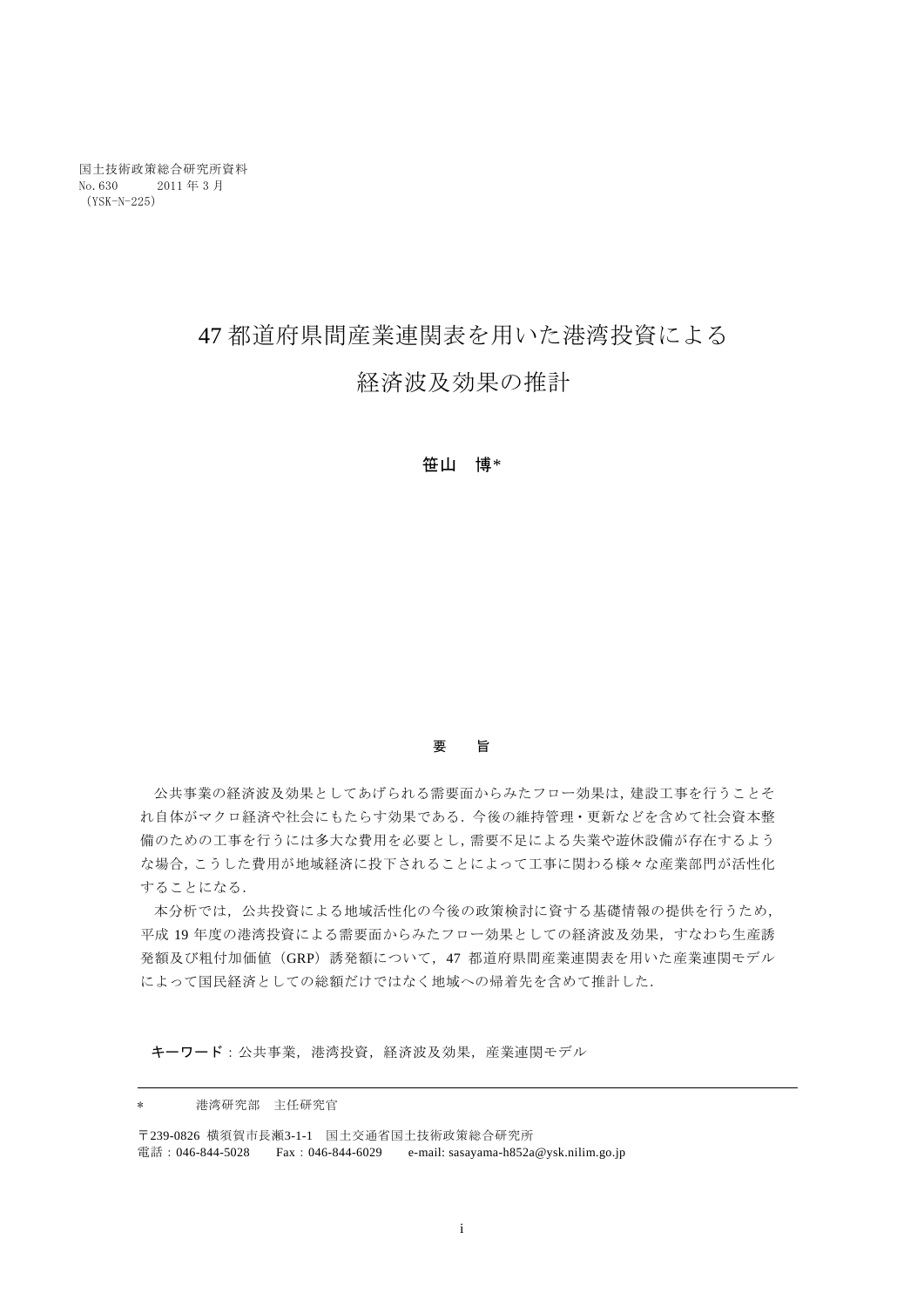# 47 都道府県間産業連関表を用いた港湾投資による

## 経済波及効果の推計

### 笹山 博\*

### 要 旨

公共事業の経済波及効果としてあげられる需要面からみたフロー効果は,建設工事を行うことそ れ自体がマクロ経済や社会にもたらす効果である.今後の維持管理・更新などを含めて社会資本整 備のための工事を行うには多大な費用を必要とし,需要不足による失業や遊休設備が存在するよう な場合,こうした費用が地域経済に投下されることによって工事に関わる様々な産業部門が活性化 することになる.

本分析では,公共投資による地域活性化の今後の政策検討に資する基礎情報の提供を行うため, 平成 19 年度の港湾投資による需要面からみたフロー効果としての経済波及効果,すなわち生産誘 発額及び粗付加価値 (GRP) 誘発額について、47 都道府県間産業連関表を用いた産業連関モデル によって国民経済としての総額だけではなく地域への帰着先を含めて推計した.

キーワード:公共事業,港湾投資,経済波及効果,産業連関モデル

\* 港湾研究部 主任研究官

〒239-0826 横須賀市長瀬3-1-1 国土交通省国土技術政策総合研究所 電話: 046-844-5028 Fax: 046-844-6029 e-mail: sasayama-h852a@ysk.nilim.go.jp